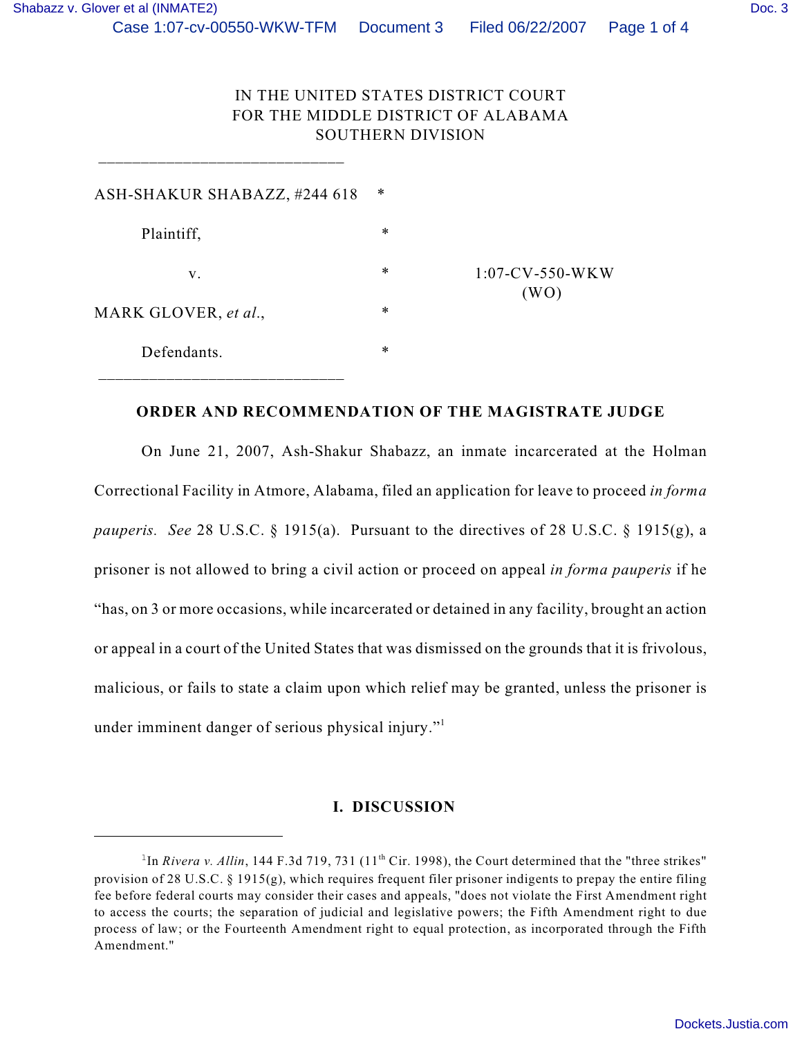## IN THE UNITED STATES DISTRICT COURT FOR THE MIDDLE DISTRICT OF ALABAMA SOUTHERN DIVISION

| ∗      |                            |
|--------|----------------------------|
| $\ast$ |                            |
| $\ast$ | $1:07$ -CV-550-WKW<br>(WO) |
| $\ast$ |                            |
| $\ast$ |                            |
|        |                            |

 $\frac{1}{2}$  ,  $\frac{1}{2}$  ,  $\frac{1}{2}$  ,  $\frac{1}{2}$  ,  $\frac{1}{2}$  ,  $\frac{1}{2}$  ,  $\frac{1}{2}$  ,  $\frac{1}{2}$  ,  $\frac{1}{2}$  ,  $\frac{1}{2}$  ,  $\frac{1}{2}$  ,  $\frac{1}{2}$  ,  $\frac{1}{2}$  ,  $\frac{1}{2}$  ,  $\frac{1}{2}$  ,  $\frac{1}{2}$  ,  $\frac{1}{2}$  ,  $\frac{1}{2}$  ,  $\frac{1$ 

## **ORDER AND RECOMMENDATION OF THE MAGISTRATE JUDGE**

On June 21, 2007, Ash-Shakur Shabazz, an inmate incarcerated at the Holman Correctional Facility in Atmore, Alabama, filed an application for leave to proceed *in forma pauperis. See* 28 U.S.C. § 1915(a). Pursuant to the directives of 28 U.S.C. § 1915(g), a prisoner is not allowed to bring a civil action or proceed on appeal *in forma pauperis* if he "has, on 3 or more occasions, while incarcerated or detained in any facility, brought an action or appeal in a court of the United States that was dismissed on the grounds that it is frivolous, malicious, or fails to state a claim upon which relief may be granted, unless the prisoner is under imminent danger of serious physical injury."<sup>1</sup>

## **I. DISCUSSION**

<sup>&</sup>lt;sup>1</sup>In *Rivera v. Allin*, 144 F.3d 719, 731 (11<sup>th</sup> Cir. 1998), the Court determined that the "three strikes" provision of 28 U.S.C.  $\S$  1915(g), which requires frequent filer prisoner indigents to prepay the entire filing fee before federal courts may consider their cases and appeals, "does not violate the First Amendment right to access the courts; the separation of judicial and legislative powers; the Fifth Amendment right to due process of law; or the Fourteenth Amendment right to equal protection, as incorporated through the Fifth Amendment."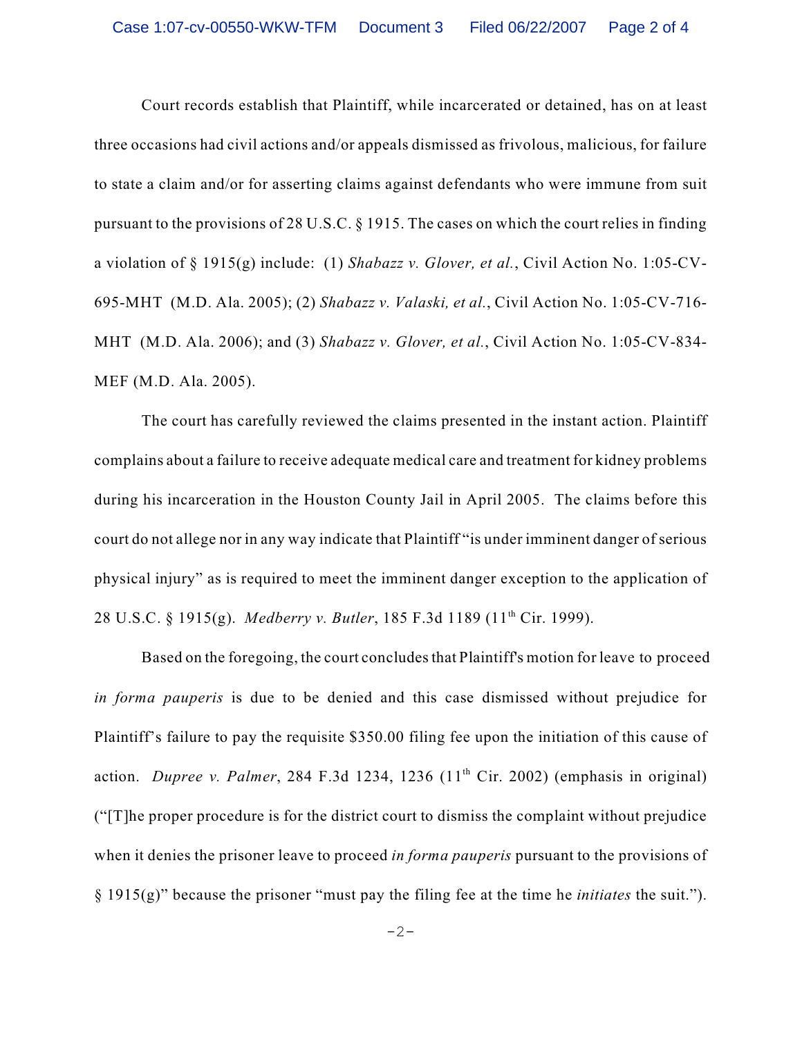Court records establish that Plaintiff, while incarcerated or detained, has on at least three occasions had civil actions and/or appeals dismissed as frivolous, malicious, for failure to state a claim and/or for asserting claims against defendants who were immune from suit pursuant to the provisions of 28 U.S.C. § 1915. The cases on which the court relies in finding a violation of § 1915(g) include: (1) *Shabazz v. Glover, et al.*, Civil Action No. 1:05-CV-695-MHT (M.D. Ala. 2005); (2) *Shabazz v. Valaski, et al.*, Civil Action No. 1:05-CV-716- MHT (M.D. Ala. 2006); and (3) *Shabazz v. Glover, et al.*, Civil Action No. 1:05-CV-834- MEF (M.D. Ala. 2005).

The court has carefully reviewed the claims presented in the instant action. Plaintiff complains about a failure to receive adequate medical care and treatment for kidney problems during his incarceration in the Houston County Jail in April 2005. The claims before this court do not allege nor in any way indicate that Plaintiff "is under imminent danger of serious physical injury" as is required to meet the imminent danger exception to the application of 28 U.S.C. § 1915(g). *Medberry v. Butler*, 185 F.3d 1189 (11<sup>th</sup> Cir. 1999).

 Based on the foregoing, the court concludes that Plaintiff's motion for leave to proceed *in forma pauperis* is due to be denied and this case dismissed without prejudice for Plaintiff's failure to pay the requisite \$350.00 filing fee upon the initiation of this cause of action. *Dupree v. Palmer*, 284 F.3d 1234, 1236  $(11<sup>th</sup> Cir. 2002)$  (emphasis in original) ("[T]he proper procedure is for the district court to dismiss the complaint without prejudice when it denies the prisoner leave to proceed *in forma pauperis* pursuant to the provisions of § 1915(g)" because the prisoner "must pay the filing fee at the time he *initiates* the suit.").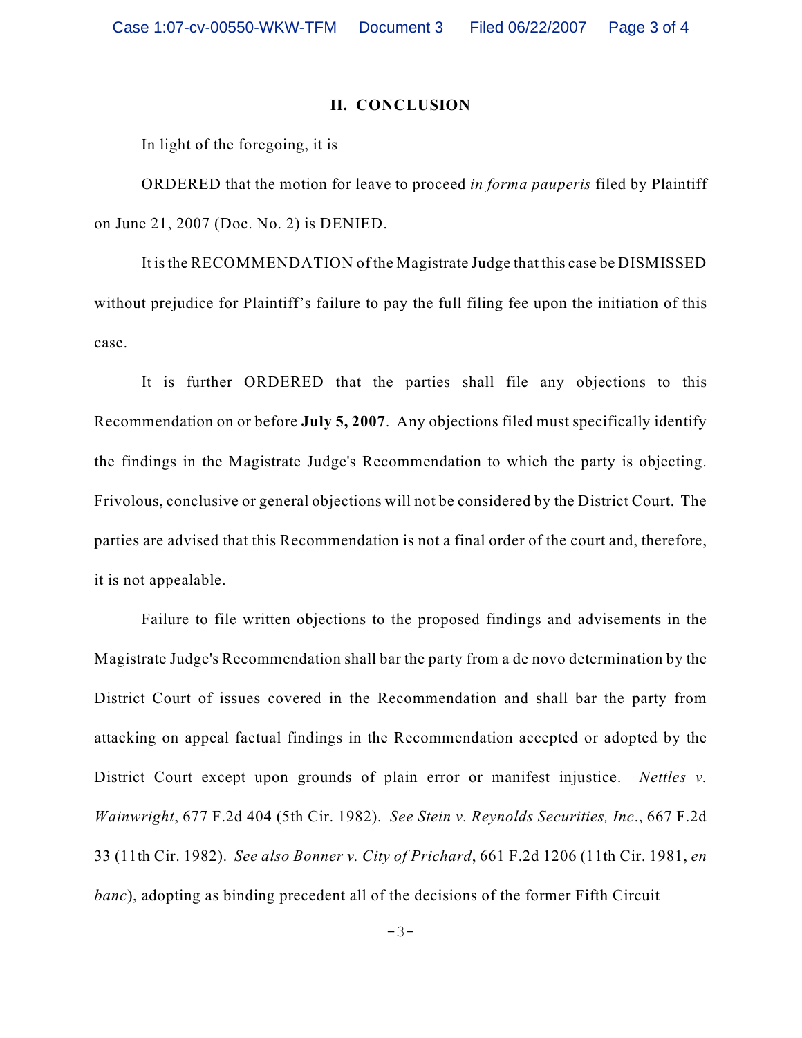## **II. CONCLUSION**

In light of the foregoing, it is

ORDERED that the motion for leave to proceed *in forma pauperis* filed by Plaintiff on June 21, 2007 (Doc. No. 2) is DENIED.

It is the RECOMMENDATION of the Magistrate Judge that this case be DISMISSED without prejudice for Plaintiff's failure to pay the full filing fee upon the initiation of this case.

It is further ORDERED that the parties shall file any objections to this Recommendation on or before **July 5, 2007**. Any objections filed must specifically identify the findings in the Magistrate Judge's Recommendation to which the party is objecting. Frivolous, conclusive or general objections will not be considered by the District Court. The parties are advised that this Recommendation is not a final order of the court and, therefore, it is not appealable.

Failure to file written objections to the proposed findings and advisements in the Magistrate Judge's Recommendation shall bar the party from a de novo determination by the District Court of issues covered in the Recommendation and shall bar the party from attacking on appeal factual findings in the Recommendation accepted or adopted by the District Court except upon grounds of plain error or manifest injustice. *Nettles v. Wainwright*, 677 F.2d 404 (5th Cir. 1982). *See Stein v. Reynolds Securities, Inc*., 667 F.2d 33 (11th Cir. 1982). *See also Bonner v. City of Prichard*, 661 F.2d 1206 (11th Cir. 1981, *en banc*), adopting as binding precedent all of the decisions of the former Fifth Circuit

 $-3-$